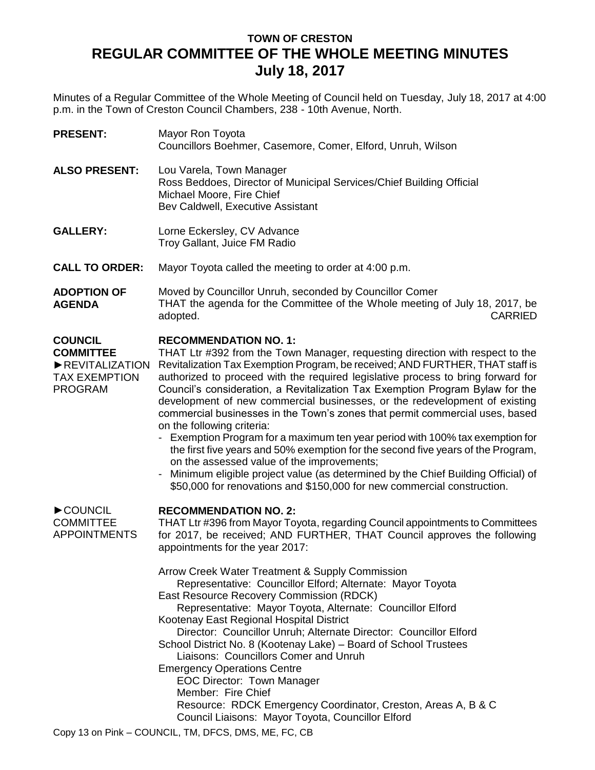## **TOWN OF CRESTON REGULAR COMMITTEE OF THE WHOLE MEETING MINUTES July 18, 2017**

Minutes of a Regular Committee of the Whole Meeting of Council held on Tuesday, July 18, 2017 at 4:00 p.m. in the Town of Creston Council Chambers, 238 - 10th Avenue, North.

| <b>PRESENT:</b>                                                                                | Mayor Ron Toyota<br>Councillors Boehmer, Casemore, Comer, Elford, Unruh, Wilson                                                                                                                                                                                                                                                                                                                                                                                                                                                                                                                                                                                                                                                                                                                                                                                                                                                                   |
|------------------------------------------------------------------------------------------------|---------------------------------------------------------------------------------------------------------------------------------------------------------------------------------------------------------------------------------------------------------------------------------------------------------------------------------------------------------------------------------------------------------------------------------------------------------------------------------------------------------------------------------------------------------------------------------------------------------------------------------------------------------------------------------------------------------------------------------------------------------------------------------------------------------------------------------------------------------------------------------------------------------------------------------------------------|
| <b>ALSO PRESENT:</b>                                                                           | Lou Varela, Town Manager<br>Ross Beddoes, Director of Municipal Services/Chief Building Official<br>Michael Moore, Fire Chief<br>Bev Caldwell, Executive Assistant                                                                                                                                                                                                                                                                                                                                                                                                                                                                                                                                                                                                                                                                                                                                                                                |
| <b>GALLERY:</b>                                                                                | Lorne Eckersley, CV Advance<br>Troy Gallant, Juice FM Radio                                                                                                                                                                                                                                                                                                                                                                                                                                                                                                                                                                                                                                                                                                                                                                                                                                                                                       |
| <b>CALL TO ORDER:</b>                                                                          | Mayor Toyota called the meeting to order at 4:00 p.m.                                                                                                                                                                                                                                                                                                                                                                                                                                                                                                                                                                                                                                                                                                                                                                                                                                                                                             |
| <b>ADOPTION OF</b><br><b>AGENDA</b>                                                            | Moved by Councillor Unruh, seconded by Councillor Comer<br>THAT the agenda for the Committee of the Whole meeting of July 18, 2017, be<br><b>CARRIED</b><br>adopted.                                                                                                                                                                                                                                                                                                                                                                                                                                                                                                                                                                                                                                                                                                                                                                              |
| <b>COUNCIL</b><br><b>COMMITTEE</b><br>REVITALIZATION<br><b>TAX EXEMPTION</b><br><b>PROGRAM</b> | <b>RECOMMENDATION NO. 1:</b><br>THAT Ltr #392 from the Town Manager, requesting direction with respect to the<br>Revitalization Tax Exemption Program, be received; AND FURTHER, THAT staff is<br>authorized to proceed with the required legislative process to bring forward for<br>Council's consideration, a Revitalization Tax Exemption Program Bylaw for the<br>development of new commercial businesses, or the redevelopment of existing<br>commercial businesses in the Town's zones that permit commercial uses, based<br>on the following criteria:<br>- Exemption Program for a maximum ten year period with 100% tax exemption for<br>the first five years and 50% exemption for the second five years of the Program,<br>on the assessed value of the improvements;<br>Minimum eligible project value (as determined by the Chief Building Official) of<br>\$50,000 for renovations and \$150,000 for new commercial construction. |
| COUNCIL<br><b>COMMITTEE</b><br><b>APPOINTMENTS</b>                                             | <b>RECOMMENDATION NO. 2:</b><br>THAT Ltr #396 from Mayor Toyota, regarding Council appointments to Committees<br>for 2017, be received; AND FURTHER, THAT Council approves the following<br>appointments for the year 2017:<br>Arrow Creek Water Treatment & Supply Commission<br>Representative: Councillor Elford; Alternate: Mayor Toyota<br>East Resource Recovery Commission (RDCK)<br>Representative: Mayor Toyota, Alternate: Councillor Elford<br>Kootenay East Regional Hospital District<br>Director: Councillor Unruh; Alternate Director: Councillor Elford<br>School District No. 8 (Kootenay Lake) - Board of School Trustees<br>Liaisons: Councillors Comer and Unruh<br><b>Emergency Operations Centre</b><br><b>EOC Director: Town Manager</b><br>Member: Fire Chief<br>Resource: RDCK Emergency Coordinator, Creston, Areas A, B & C<br>Council Liaisons: Mayor Toyota, Councillor Elford                                       |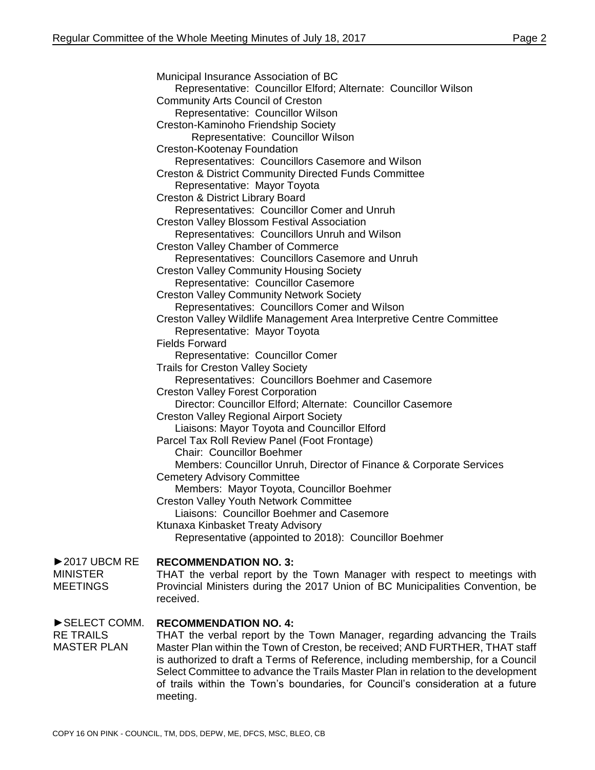Municipal Insurance Association of BC Representative: Councillor Elford; Alternate: Councillor Wilson Community Arts Council of Creston Representative: Councillor Wilson Creston-Kaminoho Friendship Society Representative: Councillor Wilson Creston-Kootenay Foundation Representatives: Councillors Casemore and Wilson Creston & District Community Directed Funds Committee Representative: Mayor Toyota Creston & District Library Board Representatives: Councillor Comer and Unruh Creston Valley Blossom Festival Association Representatives: Councillors Unruh and Wilson Creston Valley Chamber of Commerce Representatives: Councillors Casemore and Unruh Creston Valley Community Housing Society Representative: Councillor Casemore Creston Valley Community Network Society Representatives: Councillors Comer and Wilson Creston Valley Wildlife Management Area Interpretive Centre Committee Representative: Mayor Toyota Fields Forward Representative: Councillor Comer Trails for Creston Valley Society Representatives: Councillors Boehmer and Casemore Creston Valley Forest Corporation Director: Councillor Elford; Alternate: Councillor Casemore Creston Valley Regional Airport Society Liaisons: Mayor Toyota and Councillor Elford Parcel Tax Roll Review Panel (Foot Frontage) Chair: Councillor Boehmer Members: Councillor Unruh, Director of Finance & Corporate Services Cemetery Advisory Committee Members: Mayor Toyota, Councillor Boehmer Creston Valley Youth Network Committee Liaisons: Councillor Boehmer and Casemore Ktunaxa Kinbasket Treaty Advisory Representative (appointed to 2018): Councillor Boehmer ►2017 UBCM RE **RECOMMENDATION NO. 3:** THAT the verbal report by the Town Manager with respect to meetings with Provincial Ministers during the 2017 Union of BC Municipalities Convention, be received. ►SELECT COMM. **RECOMMENDATION NO. 4:** THAT the verbal report by the Town Manager, regarding advancing the Trails

RE TRAILS MASTER PLAN Master Plan within the Town of Creston, be received; AND FURTHER, THAT staff is authorized to draft a Terms of Reference, including membership, for a Council Select Committee to advance the Trails Master Plan in relation to the development of trails within the Town's boundaries, for Council's consideration at a future meeting.

MINISTER **MEETINGS**